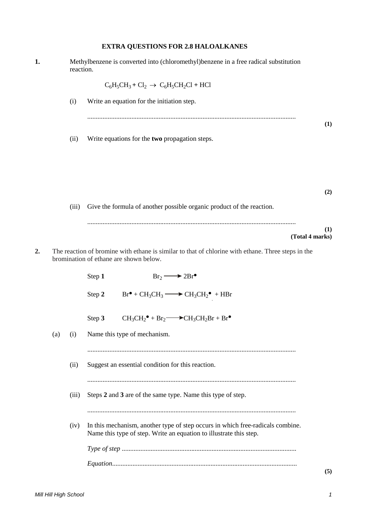## **EXTRA QUESTIONS FOR 2.8 HALOALKANES**

| 1. |     | reaction. | Methylbenzene is converted into (chloromethyl)benzene in a free radical substitution                                                                 |     |  |  |  |
|----|-----|-----------|------------------------------------------------------------------------------------------------------------------------------------------------------|-----|--|--|--|
|    |     |           | $C_6H_5CH_3 + Cl_2 \rightarrow C_6H_5CH_2Cl + HCl$                                                                                                   |     |  |  |  |
|    |     | (i)       | Write an equation for the initiation step.                                                                                                           |     |  |  |  |
|    |     | (ii)      | Write equations for the two propagation steps.                                                                                                       | (1) |  |  |  |
|    |     |           |                                                                                                                                                      |     |  |  |  |
|    |     |           |                                                                                                                                                      | (2) |  |  |  |
|    |     | (iii)     | Give the formula of another possible organic product of the reaction.                                                                                |     |  |  |  |
|    |     |           | (Total 4 marks)                                                                                                                                      | (1) |  |  |  |
| 2. |     |           | The reaction of bromine with ethane is similar to that of chlorine with ethane. Three steps in the<br>bromination of ethane are shown below.         |     |  |  |  |
|    |     |           | $Br_2 \longrightarrow 2Br^{\bullet}$<br>Step 1                                                                                                       |     |  |  |  |
|    |     |           | $Br^{\bullet} + CH_3CH_3 \longrightarrow CH_3CH_2^{\bullet} + HBr$<br>Step 2                                                                         |     |  |  |  |
|    |     |           | $CH_3CH_2^{\bullet} + Br_2 \longrightarrow CH_3CH_2Br + Br^{\bullet}$<br>Step 3                                                                      |     |  |  |  |
|    | (a) | (i)       | Name this type of mechanism.                                                                                                                         |     |  |  |  |
|    |     | (ii)      | Suggest an essential condition for this reaction.                                                                                                    |     |  |  |  |
|    |     | (iii)     | Steps 2 and 3 are of the same type. Name this type of step.                                                                                          |     |  |  |  |
|    |     | (iv)      | In this mechanism, another type of step occurs in which free-radicals combine.<br>Name this type of step. Write an equation to illustrate this step. |     |  |  |  |
|    |     |           |                                                                                                                                                      |     |  |  |  |
|    |     |           |                                                                                                                                                      | (5) |  |  |  |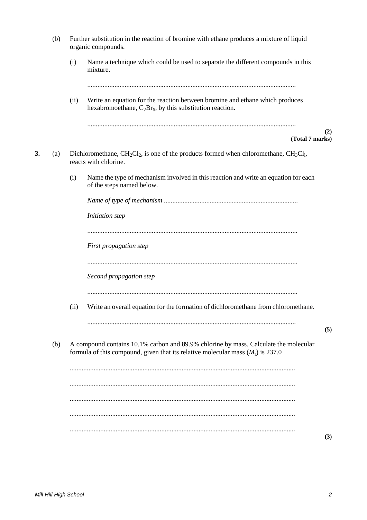|    | (b) | Further substitution in the reaction of bromine with ethane produces a mixture of liquid<br>organic compounds. |                                                                                                                                                                           |     |  |  |  |  |
|----|-----|----------------------------------------------------------------------------------------------------------------|---------------------------------------------------------------------------------------------------------------------------------------------------------------------------|-----|--|--|--|--|
|    |     | (i)                                                                                                            | Name a technique which could be used to separate the different compounds in this<br>mixture.                                                                              |     |  |  |  |  |
|    |     | (ii)                                                                                                           | Write an equation for the reaction between bromine and ethane which produces<br>hexabromoethane, $C_2Br_6$ , by this substitution reaction.                               |     |  |  |  |  |
|    |     |                                                                                                                | (Total 7 marks)                                                                                                                                                           | (2) |  |  |  |  |
| 3. | (a) |                                                                                                                | Dichloromethane, $CH_2Cl_2$ , is one of the products formed when chloromethane, $CH_3Cl_1$ ,<br>reacts with chlorine.                                                     |     |  |  |  |  |
|    |     | (i)                                                                                                            | Name the type of mechanism involved in this reaction and write an equation for each<br>of the steps named below.                                                          |     |  |  |  |  |
|    |     |                                                                                                                |                                                                                                                                                                           |     |  |  |  |  |
|    |     |                                                                                                                | Initiation step                                                                                                                                                           |     |  |  |  |  |
|    |     |                                                                                                                |                                                                                                                                                                           |     |  |  |  |  |
|    |     |                                                                                                                | First propagation step                                                                                                                                                    |     |  |  |  |  |
|    |     |                                                                                                                | Second propagation step                                                                                                                                                   |     |  |  |  |  |
|    |     | (ii)                                                                                                           | Write an overall equation for the formation of dichloromethane from chloromethane.                                                                                        |     |  |  |  |  |
|    | (b) |                                                                                                                | A compound contains 10.1% carbon and 89.9% chlorine by mass. Calculate the molecular<br>formula of this compound, given that its relative molecular mass $(M_r)$ is 237.0 | (5) |  |  |  |  |
|    |     |                                                                                                                |                                                                                                                                                                           |     |  |  |  |  |
|    |     |                                                                                                                |                                                                                                                                                                           |     |  |  |  |  |
|    |     |                                                                                                                |                                                                                                                                                                           |     |  |  |  |  |
|    |     |                                                                                                                |                                                                                                                                                                           |     |  |  |  |  |
|    |     |                                                                                                                |                                                                                                                                                                           |     |  |  |  |  |

**(3)**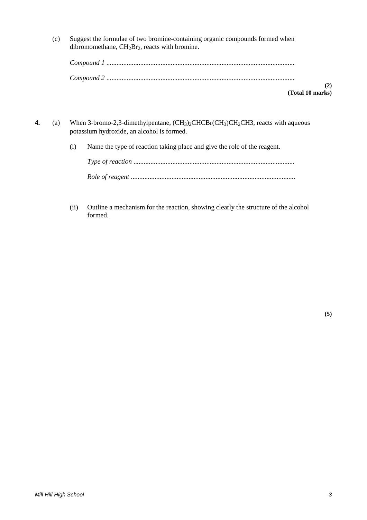(c) Suggest the formulae of two bromine-containing organic compounds formed when dibromomethane,  $CH<sub>2</sub>Br<sub>2</sub>$ , reacts with bromine.

| $\sim$ $\sim$ $\sim$ $\sim$ $\sim$ |  |
|------------------------------------|--|

**(Total 10 marks)**

- **4.** (a) When 3-bromo-2,3-dimethylpentane,  $(CH_3)_2CHCBr(CH_3)CH_2CH3$ , reacts with aqueous potassium hydroxide, an alcohol is formed.
	- (i) Name the type of reaction taking place and give the role of the reagent.

(ii) Outline a mechanism for the reaction, showing clearly the structure of the alcohol formed.

**(5)**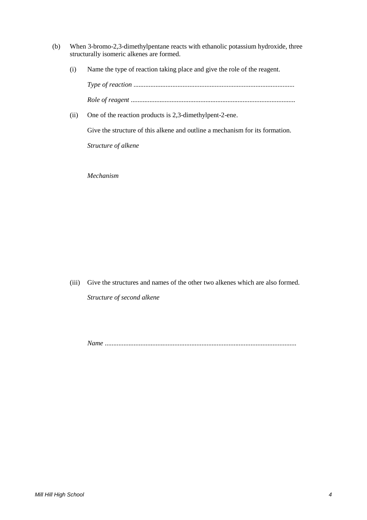- (b) When 3-bromo-2,3-dimethylpentane reacts with ethanolic potassium hydroxide, three structurally isomeric alkenes are formed.
	- (i) Name the type of reaction taking place and give the role of the reagent.

*Type of reaction* ............................................................................................... *Role of reagent* .................................................................................................

(ii) One of the reaction products is 2,3-dimethylpent-2-ene.

Give the structure of this alkene and outline a mechanism for its formation.

*Structure of alkene*

*Mechanism*

(iii) Give the structures and names of the other two alkenes which are also formed. *Structure of second alkene*

*Name* .................................................................................................................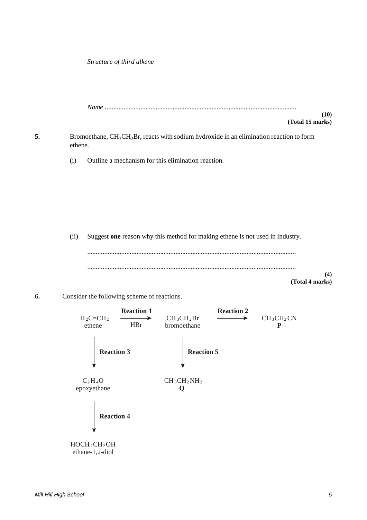*Structure of third alkene*

|    |         | (10)<br>(Total 15 marks)                                                                                         |
|----|---------|------------------------------------------------------------------------------------------------------------------|
| 5. | ethene. | Bromoethane, CH <sub>3</sub> CH <sub>2</sub> Br, reacts with sodium hydroxide in an elimination reaction to form |
|    | (i)     | Outline a mechanism for this elimination reaction.                                                               |
|    |         |                                                                                                                  |
|    |         |                                                                                                                  |
|    |         |                                                                                                                  |
|    | (ii)    | Suggest one reason why this method for making ethene is not used in industry.                                    |
|    |         |                                                                                                                  |
|    |         | (4)<br>(Total 4 marks)                                                                                           |
| 6. |         | Consider the following scheme of reactions.                                                                      |



ethane-1,2-diol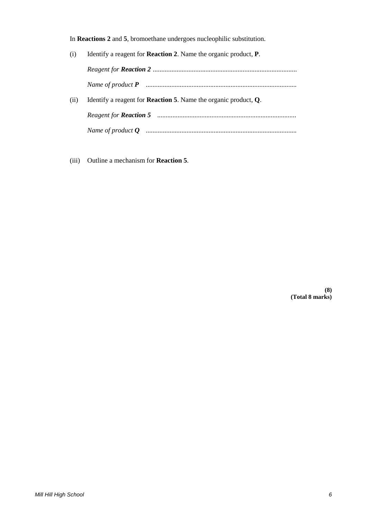In **Reactions 2** and **5**, bromoethane undergoes nucleophilic substitution.

(i) Identify a reagent for **Reaction 2**. Name the organic product, **P**. *Reagent for Reaction 2* ..................................................................................... *Name of product P* ......................................................................................... (ii) Identify a reagent for **Reaction 5**. Name the organic product, **Q**. *Reagent for Reaction 5* .................................................................................. *Name of product Q* .........................................................................................

(iii) Outline a mechanism for **Reaction 5**.

**(8) (Total 8 marks)**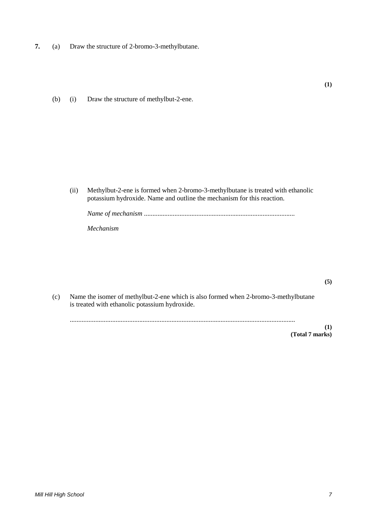- **7.** (a) Draw the structure of 2-bromo-3-methylbutane.
	- (b) (i) Draw the structure of methylbut-2-ene.

(ii) Methylbut-2-ene is formed when 2-bromo-3-methylbutane is treated with ethanolic potassium hydroxide. Name and outline the mechanism for this reaction.

*Name of mechanism* .........................................................................................

*Mechanism*

(c) Name the isomer of methylbut-2-ene which is also formed when 2-bromo-3-methylbutane is treated with ethanolic potassium hydroxide.

.....................................................................................................................................

**(1) (Total 7 marks)**

**(5)**

**(1)**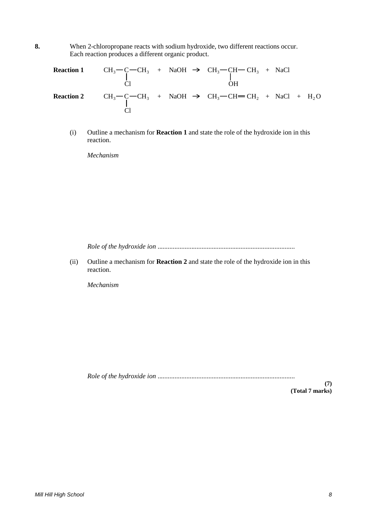**8.** When 2-chloropropane reacts with sodium hydroxide, two different reactions occur. Each reaction produces a different organic product.

|  |  | <b>Reaction 1</b> CH <sub>3</sub> - C - CH <sub>3</sub> + NaOH $\rightarrow$ CH <sub>3</sub> - CH - CH <sub>3</sub> + NaCl<br>O <sub>H</sub>  |  |  |
|--|--|-----------------------------------------------------------------------------------------------------------------------------------------------|--|--|
|  |  | <b>Reaction 2</b> CH <sub>3</sub> – C – CH <sub>3</sub> + NaOH $\rightarrow$ CH <sub>3</sub> – CH = CH <sub>2</sub> + NaCl + H <sub>2</sub> O |  |  |

(i) Outline a mechanism for **Reaction 1** and state the role of the hydroxide ion in this reaction.

*Mechanism*

*Role of the hydroxide ion* .................................................................................

(ii) Outline a mechanism for **Reaction 2** and state the role of the hydroxide ion in this reaction.

*Mechanism*

*Role of the hydroxide ion* .................................................................................

**(7) (Total 7 marks)**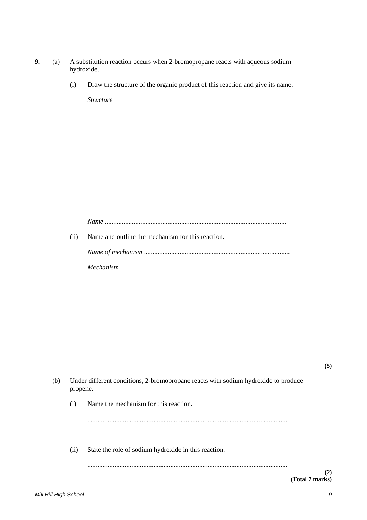- **9.** (a) A substitution reaction occurs when 2-bromopropane reacts with aqueous sodium hydroxide.
	- (i) Draw the structure of the organic product of this reaction and give its name.

*Structure*

*Name* ...........................................................................................................

(ii) Name and outline the mechanism for this reaction.

*Name of mechanism* ......................................................................................

*Mechanism*

| (b) | Under different conditions, 2-bromopropane reacts with sodium hydroxide to produce<br>propene. |                                                      |     |  |  |  |  |
|-----|------------------------------------------------------------------------------------------------|------------------------------------------------------|-----|--|--|--|--|
|     | (i)                                                                                            | Name the mechanism for this reaction.                |     |  |  |  |  |
|     |                                                                                                |                                                      |     |  |  |  |  |
|     | (i)                                                                                            | State the role of sodium hydroxide in this reaction. |     |  |  |  |  |
|     |                                                                                                |                                                      | (2) |  |  |  |  |

**(5)**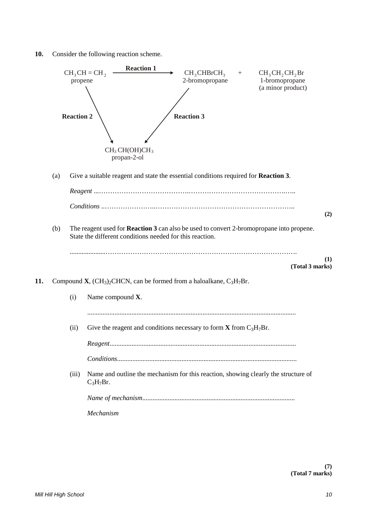**10.** Consider the following reaction scheme.

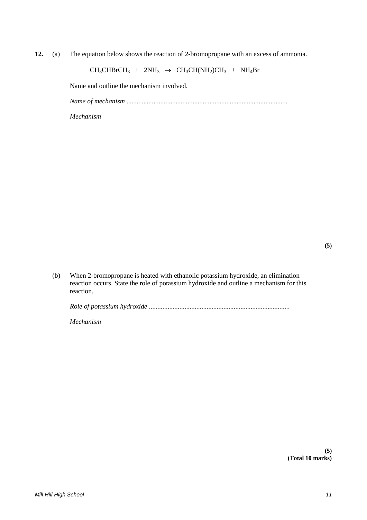**12.** (a) The equation below shows the reaction of 2-bromopropane with an excess of ammonia.

$$
CH_3CHBrCH_3 + 2NH_3 \rightarrow CH_3CH(NH_2)CH_3 + NH_4Br
$$

Name and outline the mechanism involved.

*Name of mechanism* ...............................................................................................

*Mechanism*

(b) When 2-bromopropane is heated with ethanolic potassium hydroxide, an elimination reaction occurs. State the role of potassium hydroxide and outline a mechanism for this reaction.

*Role of potassium hydroxide* ...................................................................................

*Mechanism*

**(5) (Total 10 marks)**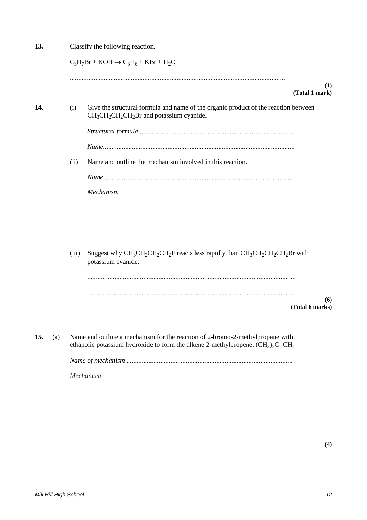| 13. |     | Classify the following reaction. |                                                                                                                                                                     |  |  |  |  |  |  |
|-----|-----|----------------------------------|---------------------------------------------------------------------------------------------------------------------------------------------------------------------|--|--|--|--|--|--|
|     |     |                                  | $C_3H_7Br + KOH \rightarrow C_3H_6 + KBr + H_2O$                                                                                                                    |  |  |  |  |  |  |
|     |     |                                  | (1)<br>(Total 1 mark)                                                                                                                                               |  |  |  |  |  |  |
| 14. |     | (i)                              | Give the structural formula and name of the organic product of the reaction between<br>$CH3CH2CH2CH2Br$ and potassium cyanide.                                      |  |  |  |  |  |  |
|     |     |                                  |                                                                                                                                                                     |  |  |  |  |  |  |
|     |     |                                  |                                                                                                                                                                     |  |  |  |  |  |  |
|     |     | (ii)                             | Name and outline the mechanism involved in this reaction.                                                                                                           |  |  |  |  |  |  |
|     |     |                                  |                                                                                                                                                                     |  |  |  |  |  |  |
|     |     |                                  | Mechanism                                                                                                                                                           |  |  |  |  |  |  |
|     |     |                                  |                                                                                                                                                                     |  |  |  |  |  |  |
|     |     |                                  |                                                                                                                                                                     |  |  |  |  |  |  |
|     |     |                                  |                                                                                                                                                                     |  |  |  |  |  |  |
|     |     | (iii)                            | Suggest why $CH_3CH_2CH_2CH_2F$ reacts less rapidly than $CH_3CH_2CH_2CH_2Br$ with<br>potassium cyanide.                                                            |  |  |  |  |  |  |
|     |     |                                  |                                                                                                                                                                     |  |  |  |  |  |  |
|     |     |                                  |                                                                                                                                                                     |  |  |  |  |  |  |
|     |     |                                  | (6)<br>(Total 6 marks)                                                                                                                                              |  |  |  |  |  |  |
|     |     |                                  |                                                                                                                                                                     |  |  |  |  |  |  |
| 15. | (a) |                                  | Name and outline a mechanism for the reaction of 2-bromo-2-methylpropane with<br>ethanolic potassium hydroxide to form the alkene 2-methylpropene, $(CH_3)_2C=CH_2$ |  |  |  |  |  |  |
|     |     |                                  |                                                                                                                                                                     |  |  |  |  |  |  |
|     |     |                                  | Mechanism                                                                                                                                                           |  |  |  |  |  |  |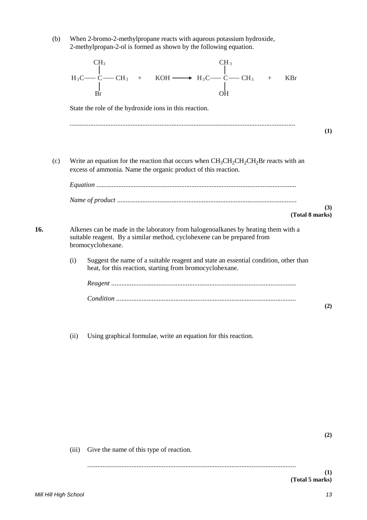(b) When 2-bromo-2-methylpropane reacts with aqueous potassium hydroxide, 2-methylpropan-2-ol is formed as shown by the following equation.

|     |      | CH <sub>3</sub><br>CH <sub>3</sub><br><b>KBr</b>                                                                                                                                  |     |
|-----|------|-----------------------------------------------------------------------------------------------------------------------------------------------------------------------------------|-----|
|     |      | State the role of the hydroxide ions in this reaction.                                                                                                                            |     |
|     |      |                                                                                                                                                                                   | (1) |
| (c) |      | Write an equation for the reaction that occurs when $CH_3CH_2CH_2CH_2Br$ reacts with an<br>excess of ammonia. Name the organic product of this reaction.                          |     |
|     |      | (Total 8 marks)                                                                                                                                                                   | (3) |
| 16. |      | Alkenes can be made in the laboratory from halogenoalkanes by heating them with a<br>suitable reagent. By a similar method, cyclohexene can be prepared from<br>bromocyclohexane. |     |
|     | (i)  | Suggest the name of a suitable reagent and state an essential condition, other than<br>heat, for this reaction, starting from bromocyclohexane.                                   |     |
|     |      |                                                                                                                                                                                   |     |
|     |      |                                                                                                                                                                                   | (2) |
|     |      |                                                                                                                                                                                   |     |
|     | (ii) | Using graphical formulae, write an equation for this reaction.                                                                                                                    |     |

(iii) Give the name of this type of reaction.

**(2)**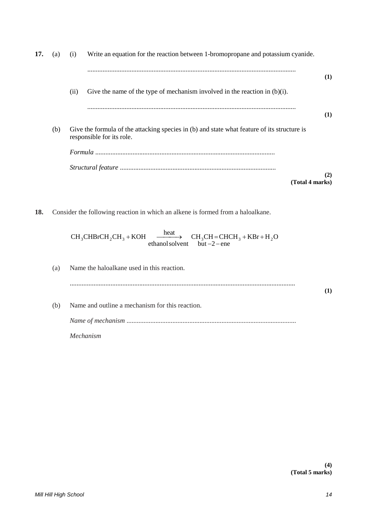| 17. | (a) | (i)  | Write an equation for the reaction between 1-bromopropane and potassium cyanide.                                         |     |
|-----|-----|------|--------------------------------------------------------------------------------------------------------------------------|-----|
|     |     |      |                                                                                                                          | (1) |
|     |     | (ii) | Give the name of the type of mechanism involved in the reaction in $(b)(i)$ .                                            |     |
|     |     |      |                                                                                                                          | (1) |
|     | (b) |      | Give the formula of the attacking species in (b) and state what feature of its structure is<br>responsible for its role. |     |
|     |     |      |                                                                                                                          |     |
|     |     |      |                                                                                                                          | (2) |
|     |     |      | (Total 4 marks)                                                                                                          |     |

**18.** Consider the following reaction in which an alkene is formed from a haloalkane.

ethanol solvent but  $-2$  - ene  $CH_3CHBrCH_2CH_3 + KOH$   $\xrightarrow{\text{heat}}$   $CH_3CH=CHCH_3 + KBr + H_2O$  $-2 + KOH \longrightarrow CH_3CH=CHCH_3+KBr+$ 

(a) Name the haloalkane used in this reaction. ..................................................................................................................................... **(1)** (b) Name and outline a mechanism for this reaction. *Name of mechanism* .................................................................................................... *Mechanism*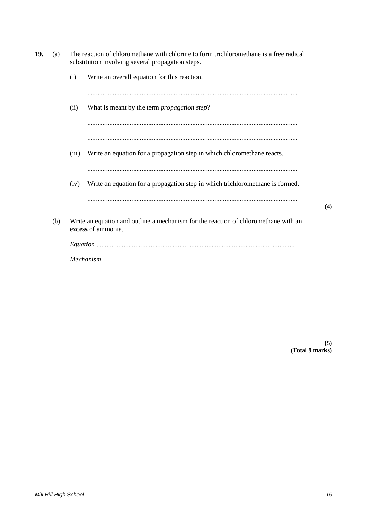| 19. | (a) |       | The reaction of chloromethane with chlorine to form trichloromethane is a free radical<br>substitution involving several propagation steps. |     |
|-----|-----|-------|---------------------------------------------------------------------------------------------------------------------------------------------|-----|
|     |     | (i)   | Write an overall equation for this reaction.                                                                                                |     |
|     |     |       |                                                                                                                                             |     |
|     |     | (ii)  | What is meant by the term <i>propagation step</i> ?                                                                                         |     |
|     |     |       |                                                                                                                                             |     |
|     |     |       |                                                                                                                                             |     |
|     |     | (iii) | Write an equation for a propagation step in which chloromethane reacts.                                                                     |     |
|     |     |       |                                                                                                                                             |     |
|     |     | (iv)  | Write an equation for a propagation step in which trichloromethane is formed.                                                               |     |
|     |     |       |                                                                                                                                             | (4) |
|     | (b) |       | Write an equation and outline a mechanism for the reaction of chloromethane with an<br>excess of ammonia.                                   |     |
|     |     |       |                                                                                                                                             |     |
|     |     |       | Mechanism                                                                                                                                   |     |
|     |     |       |                                                                                                                                             |     |

**(5) (Total 9 marks)**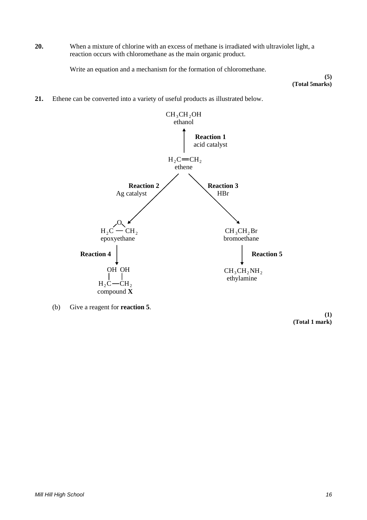**20.** When a mixture of chlorine with an excess of methane is irradiated with ultraviolet light, a reaction occurs with chloromethane as the main organic product.

Write an equation and a mechanism for the formation of chloromethane.

**(5) (Total 5marks)**

**21.** Ethene can be converted into a variety of useful products as illustrated below.



(b) Give a reagent for **reaction 5**.

**(1) (Total 1 mark)**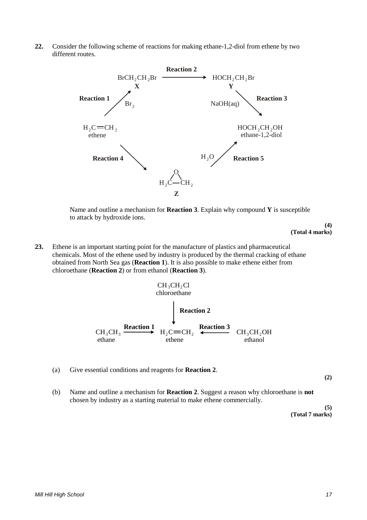**22.** Consider the following scheme of reactions for making ethane-1,2-diol from ethene by two different routes.



Name and outline a mechanism for **Reaction 3**. Explain why compound **Y** is susceptible to attack by hydroxide ions.

> **(4) (Total 4 marks)**

**23.** Ethene is an important starting point for the manufacture of plastics and pharmaceutical chemicals. Most of the ethene used by industry is produced by the thermal cracking of ethane obtained from North Sea gas (**Reaction 1**). It is also possible to make ethene either from chloroethane (**Reaction 2**) or from ethanol (**Reaction 3**).

$$
CH_3CH_2Cl
$$
\nchloroethane

\n
$$
CH_3CH_3
$$
\nReaction 1

\n
$$
H_2C=CH_2
$$
\nReaction 3

\n
$$
CH_3CH_3OH
$$
\nethane

\n
$$
CH_3CH_2OH
$$
\nethanol

(a) Give essential conditions and reagents for **Reaction 2**.

**(2)** 

(b) Name and outline a mechanism for **Reaction 2**. Suggest a reason why chloroethane is **not**  chosen by industry as a starting material to make ethene commercially.

> **(5) (Total 7 marks)**